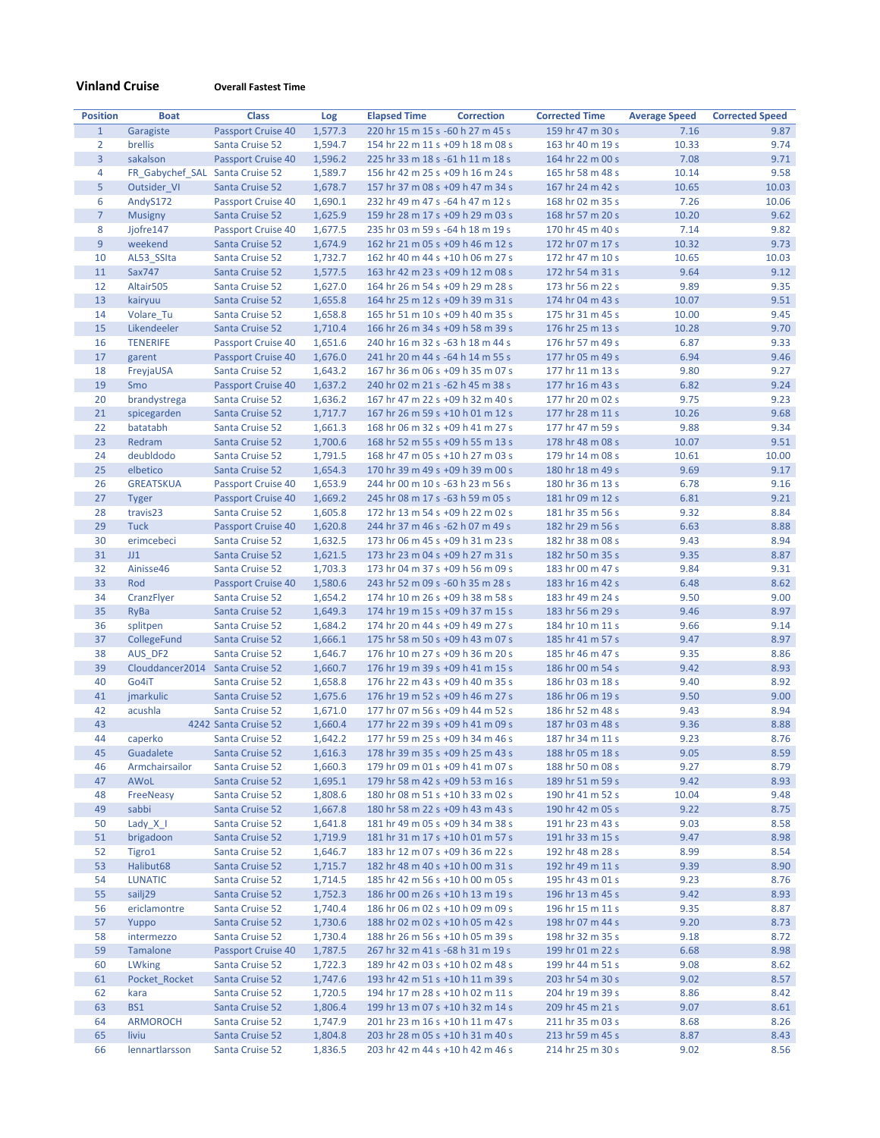**Vinland Cruise Overall Fastest Time**

| <b>Position</b> | <b>Boat</b>                     | <b>Class</b>                          | Log                | <b>Elapsed Time</b>                                                  | <b>Correction</b> | <b>Corrected Time</b>                | <b>Average Speed</b> | <b>Corrected Speed</b> |
|-----------------|---------------------------------|---------------------------------------|--------------------|----------------------------------------------------------------------|-------------------|--------------------------------------|----------------------|------------------------|
| $\mathbf{1}$    | Garagiste                       | Passport Cruise 40                    | 1,577.3            | 220 hr 15 m 15 s -60 h 27 m 45 s                                     |                   | 159 hr 47 m 30 s                     | 7.16                 | 9.87                   |
| $\overline{2}$  | brellis                         | Santa Cruise 52                       | 1,594.7            | 154 hr 22 m 11 s +09 h 18 m 08 s                                     |                   | 163 hr 40 m 19 s                     | 10.33                | 9.74                   |
| $\overline{3}$  | sakalson                        | <b>Passport Cruise 40</b>             | 1,596.2            | 225 hr 33 m 18 s -61 h 11 m 18 s                                     |                   | 164 hr 22 m 00 s                     | 7.08                 | 9.71                   |
| 4               | FR_Gabychef_SAL Santa Cruise 52 |                                       | 1,589.7            | 156 hr 42 m 25 s +09 h 16 m 24 s                                     |                   | 165 hr 58 m 48 s                     | 10.14                | 9.58                   |
| 5               | Outsider VI                     | Santa Cruise 52                       | 1,678.7            | 157 hr 37 m 08 s +09 h 47 m 34 s                                     |                   | 167 hr 24 m 42 s                     | 10.65                | 10.03                  |
| 6               | AndyS172                        | Passport Cruise 40                    | 1,690.1            | 232 hr 49 m 47 s -64 h 47 m 12 s                                     |                   | 168 hr 02 m 35 s                     | 7.26                 | 10.06                  |
| $\overline{7}$  | <b>Musigny</b>                  | Santa Cruise 52                       | 1,625.9            | 159 hr 28 m 17 s +09 h 29 m 03 s                                     |                   | 168 hr 57 m 20 s                     | 10.20                | 9.62                   |
| 8               | Jjofre147                       | Passport Cruise 40                    | 1,677.5            | 235 hr 03 m 59 s -64 h 18 m 19 s                                     |                   | 170 hr 45 m 40 s                     | 7.14                 | 9.82                   |
| 9               | weekend                         | Santa Cruise 52                       | 1,674.9            | 162 hr 21 m 05 s +09 h 46 m 12 s                                     |                   | 172 hr 07 m 17 s                     | 10.32                | 9.73                   |
| 10              | AL53_SSIta                      | Santa Cruise 52                       | 1,732.7            | 162 hr 40 m 44 s +10 h 06 m 27 s                                     |                   | 172 hr 47 m 10 s                     | 10.65                | 10.03                  |
| 11              | Sax747                          | <b>Santa Cruise 52</b>                | 1,577.5            | 163 hr 42 m 23 s +09 h 12 m 08 s                                     |                   | 172 hr 54 m 31 s                     | 9.64                 | 9.12                   |
| 12              | Altair505                       | Santa Cruise 52                       | 1,627.0            | 164 hr 26 m 54 s +09 h 29 m 28 s                                     |                   | 173 hr 56 m 22 s                     | 9.89                 | 9.35                   |
| 13              | kairyuu                         | Santa Cruise 52                       | 1,655.8            | 164 hr 25 m 12 s +09 h 39 m 31 s                                     |                   | 174 hr 04 m 43 s                     | 10.07                | 9.51                   |
| 14              | Volare_Tu                       | Santa Cruise 52                       | 1,658.8            | 165 hr 51 m 10 s +09 h 40 m 35 s                                     |                   | 175 hr 31 m 45 s                     | 10.00                | 9.45                   |
| 15              | Likendeeler                     | Santa Cruise 52                       | 1,710.4            | 166 hr 26 m 34 s +09 h 58 m 39 s                                     |                   | 176 hr 25 m 13 s                     | 10.28                | 9.70                   |
| 16              | <b>TENERIFE</b>                 | <b>Passport Cruise 40</b>             | 1,651.6            | 240 hr 16 m 32 s -63 h 18 m 44 s                                     |                   | 176 hr 57 m 49 s                     | 6.87                 | 9.33                   |
| 17              | garent                          | Passport Cruise 40                    | 1,676.0            | 241 hr 20 m 44 s -64 h 14 m 55 s                                     |                   | 177 hr 05 m 49 s                     | 6.94                 | 9.46                   |
| 18              | FreyjaUSA                       | Santa Cruise 52                       | 1,643.2            | 167 hr 36 m 06 s +09 h 35 m 07 s                                     |                   | 177 hr 11 m 13 s                     | 9.80                 | 9.27                   |
| 19              | Smo                             | <b>Passport Cruise 40</b>             | 1,637.2            | 240 hr 02 m 21 s -62 h 45 m 38 s                                     |                   | 177 hr 16 m 43 s                     | 6.82                 | 9.24                   |
| 20              | brandystrega                    | Santa Cruise 52                       | 1,636.2            | 167 hr 47 m 22 s +09 h 32 m 40 s                                     |                   | 177 hr 20 m 02 s                     | 9.75                 | 9.23                   |
| 21              | spicegarden                     | Santa Cruise 52                       | 1,717.7            | 167 hr 26 m 59 s +10 h 01 m 12 s                                     |                   | 177 hr 28 m 11 s                     | 10.26                | 9.68                   |
| 22              | batatabh<br>Redram              | Santa Cruise 52                       | 1,661.3            | 168 hr 06 m 32 s +09 h 41 m 27 s                                     |                   | 177 hr 47 m 59 s                     | 9.88                 | 9.34                   |
| 23              | deubldodo                       | Santa Cruise 52                       | 1,700.6            | 168 hr 52 m 55 s +09 h 55 m 13 s                                     |                   | 178 hr 48 m 08 s                     | 10.07                | 9.51                   |
| 24<br>25        |                                 | Santa Cruise 52                       | 1,791.5            | 168 hr 47 m 05 s +10 h 27 m 03 s                                     |                   | 179 hr 14 m 08 s                     | 10.61<br>9.69        | 10.00<br>9.17          |
| 26              | elbetico<br><b>GREATSKUA</b>    | Santa Cruise 52                       | 1,654.3<br>1,653.9 | 170 hr 39 m 49 s +09 h 39 m 00 s<br>244 hr 00 m 10 s -63 h 23 m 56 s |                   | 180 hr 18 m 49 s<br>180 hr 36 m 13 s | 6.78                 | 9.16                   |
| 27              |                                 | Passport Cruise 40                    | 1,669.2            | 245 hr 08 m 17 s -63 h 59 m 05 s                                     |                   | 181 hr 09 m 12 s                     | 6.81                 | 9.21                   |
| 28              | <b>Tyger</b><br>travis23        | Passport Cruise 40<br>Santa Cruise 52 | 1,605.8            | 172 hr 13 m 54 s +09 h 22 m 02 s                                     |                   | 181 hr 35 m 56 s                     | 9.32                 | 8.84                   |
| 29              | <b>Tuck</b>                     | <b>Passport Cruise 40</b>             | 1,620.8            | 244 hr 37 m 46 s -62 h 07 m 49 s                                     |                   | 182 hr 29 m 56 s                     | 6.63                 | 8.88                   |
| 30              | erimcebeci                      | Santa Cruise 52                       | 1,632.5            | 173 hr 06 m 45 s +09 h 31 m 23 s                                     |                   | 182 hr 38 m 08 s                     | 9.43                 | 8.94                   |
| 31              | JJ1                             | Santa Cruise 52                       | 1,621.5            | 173 hr 23 m 04 s +09 h 27 m 31 s                                     |                   | 182 hr 50 m 35 s                     | 9.35                 | 8.87                   |
| 32              | Ainisse46                       | Santa Cruise 52                       | 1,703.3            | 173 hr 04 m 37 s +09 h 56 m 09 s                                     |                   | 183 hr 00 m 47 s                     | 9.84                 | 9.31                   |
| 33              | Rod                             | Passport Cruise 40                    | 1,580.6            | 243 hr 52 m 09 s -60 h 35 m 28 s                                     |                   | 183 hr 16 m 42 s                     | 6.48                 | 8.62                   |
| 34              | CranzFlyer                      | Santa Cruise 52                       | 1,654.2            | 174 hr 10 m 26 s +09 h 38 m 58 s                                     |                   | 183 hr 49 m 24 s                     | 9.50                 | 9.00                   |
| 35              | RyBa                            | Santa Cruise 52                       | 1,649.3            | 174 hr 19 m 15 s +09 h 37 m 15 s                                     |                   | 183 hr 56 m 29 s                     | 9.46                 | 8.97                   |
| 36              | splitpen                        | Santa Cruise 52                       | 1,684.2            | 174 hr 20 m 44 s +09 h 49 m 27 s                                     |                   | 184 hr 10 m 11 s                     | 9.66                 | 9.14                   |
| 37              | CollegeFund                     | Santa Cruise 52                       | 1,666.1            | 175 hr 58 m 50 s +09 h 43 m 07 s                                     |                   | 185 hr 41 m 57 s                     | 9.47                 | 8.97                   |
| 38              | AUS_DF2                         | Santa Cruise 52                       | 1,646.7            | 176 hr 10 m 27 s +09 h 36 m 20 s                                     |                   | 185 hr 46 m 47 s                     | 9.35                 | 8.86                   |
| 39              | Clouddancer2014                 | <b>Santa Cruise 52</b>                | 1,660.7            | 176 hr 19 m 39 s +09 h 41 m 15 s                                     |                   | 186 hr 00 m 54 s                     | 9.42                 | 8.93                   |
| 40              | Go4iT                           | Santa Cruise 52                       | 1,658.8            | 176 hr 22 m 43 s +09 h 40 m 35 s                                     |                   | 186 hr 03 m 18 s                     | 9.40                 | 8.92                   |
| 41              | jmarkulic                       | Santa Cruise 52                       | 1,675.6            | 176 hr 19 m 52 s +09 h 46 m 27 s                                     |                   | 186 hr 06 m 19 s                     | 9.50                 | 9.00                   |
| 42              | acushla                         | Santa Cruise 52                       | 1,671.0            | 177 hr 07 m 56 s +09 h 44 m 52 s                                     |                   | 186 hr 52 m 48 s                     | 9.43                 | 8.94                   |
| 43              |                                 | 4242 Santa Cruise 52                  | 1,660.4            | 177 hr 22 m 39 s +09 h 41 m 09 s                                     |                   | 187 hr 03 m 48 s                     | 9.36                 | 8.88                   |
| 44              | caperko                         | <b>Santa Cruise 52</b>                | 1,642.2            | 177 hr 59 m 25 s +09 h 34 m 46 s                                     |                   | 187 hr 34 m 11 s                     | 9.23                 | 8.76                   |
| 45              | Guadalete                       | Santa Cruise 52                       | 1,616.3            | 178 hr 39 m 35 s +09 h 25 m 43 s                                     |                   | 188 hr 05 m 18 s                     | 9.05                 | 8.59                   |
| 46              | Armchairsailor                  | Santa Cruise 52                       | 1,660.3            | 179 hr 09 m 01 s +09 h 41 m 07 s                                     |                   | 188 hr 50 m 08 s                     | 9.27                 | 8.79                   |
| 47              | AWoL                            | Santa Cruise 52                       | 1,695.1            | 179 hr 58 m 42 s +09 h 53 m 16 s                                     |                   | 189 hr 51 m 59 s                     | 9.42                 | 8.93                   |
| 48              | FreeNeasy                       | Santa Cruise 52                       | 1,808.6            | 180 hr 08 m 51 s +10 h 33 m 02 s                                     |                   | 190 hr 41 m 52 s                     | 10.04                | 9.48                   |
| 49              | sabbi                           | Santa Cruise 52                       | 1,667.8            | 180 hr 58 m 22 s +09 h 43 m 43 s                                     |                   | 190 hr 42 m 05 s                     | 9.22                 | 8.75                   |
| 50              | Lady $X$ $\vert$                | Santa Cruise 52                       | 1,641.8            | 181 hr 49 m 05 s +09 h 34 m 38 s                                     |                   | 191 hr 23 m 43 s                     | 9.03                 | 8.58                   |
| 51              | brigadoon                       | Santa Cruise 52                       | 1,719.9            | 181 hr 31 m 17 s +10 h 01 m 57 s                                     |                   | 191 hr 33 m 15 s                     | 9.47                 | 8.98                   |
| 52              | Tigro1                          | Santa Cruise 52                       | 1,646.7            | 183 hr 12 m 07 s +09 h 36 m 22 s                                     |                   | 192 hr 48 m 28 s                     | 8.99                 | 8.54                   |
| 53              | Halibut68                       | Santa Cruise 52                       | 1,715.7            | 182 hr 48 m 40 s +10 h 00 m 31 s                                     |                   | 192 hr 49 m 11 s                     | 9.39                 | 8.90                   |
| 54              | <b>LUNATIC</b>                  | Santa Cruise 52                       | 1,714.5            | 185 hr 42 m 56 s +10 h 00 m 05 s                                     |                   | 195 hr 43 m 01 s                     | 9.23                 | 8.76                   |
| 55              | sailj29                         | Santa Cruise 52                       | 1,752.3            | 186 hr 00 m 26 s +10 h 13 m 19 s                                     |                   | 196 hr 13 m 45 s                     | 9.42                 | 8.93                   |
| 56              | ericlamontre                    | Santa Cruise 52                       | 1,740.4            | 186 hr 06 m 02 s +10 h 09 m 09 s                                     |                   | 196 hr 15 m 11 s                     | 9.35                 | 8.87                   |
| 57              | Yuppo                           | Santa Cruise 52                       | 1,730.6            | 188 hr 02 m 02 s +10 h 05 m 42 s                                     |                   | 198 hr 07 m 44 s                     | 9.20                 | 8.73                   |
| 58              | intermezzo                      | Santa Cruise 52                       | 1,730.4            | 188 hr 26 m 56 s +10 h 05 m 39 s                                     |                   | 198 hr 32 m 35 s                     | 9.18                 | 8.72                   |
| 59<br>60        | Tamalone                        | Passport Cruise 40<br>Santa Cruise 52 | 1,787.5            | 267 hr 32 m 41 s -68 h 31 m 19 s                                     |                   | 199 hr 01 m 22 s                     | 6.68                 | 8.98<br>8.62           |
| 61              | <b>LWking</b><br>Pocket Rocket  | Santa Cruise 52                       | 1,722.3<br>1,747.6 | 189 hr 42 m 03 s +10 h 02 m 48 s<br>193 hr 42 m 51 s +10 h 11 m 39 s |                   | 199 hr 44 m 51 s<br>203 hr 54 m 30 s | 9.08<br>9.02         | 8.57                   |
| 62              | kara                            | Santa Cruise 52                       | 1,720.5            | 194 hr 17 m 28 s +10 h 02 m 11 s                                     |                   | 204 hr 19 m 39 s                     | 8.86                 | 8.42                   |
| 63              | <b>BS1</b>                      | Santa Cruise 52                       | 1,806.4            | 199 hr 13 m 07 s +10 h 32 m 14 s                                     |                   | 209 hr 45 m 21 s                     | 9.07                 | 8.61                   |
| 64              | <b>ARMOROCH</b>                 | Santa Cruise 52                       | 1,747.9            | 201 hr 23 m 16 s +10 h 11 m 47 s                                     |                   | 211 hr 35 m 03 s                     | 8.68                 | 8.26                   |
| 65              | liviu                           | Santa Cruise 52                       | 1,804.8            | 203 hr 28 m 05 s +10 h 31 m 40 s                                     |                   | 213 hr 59 m 45 s                     | 8.87                 | 8.43                   |
| 66              | lennartlarsson                  | Santa Cruise 52                       | 1,836.5            | 203 hr 42 m 44 s +10 h 42 m 46 s                                     |                   | 214 hr 25 m 30 s                     | 9.02                 | 8.56                   |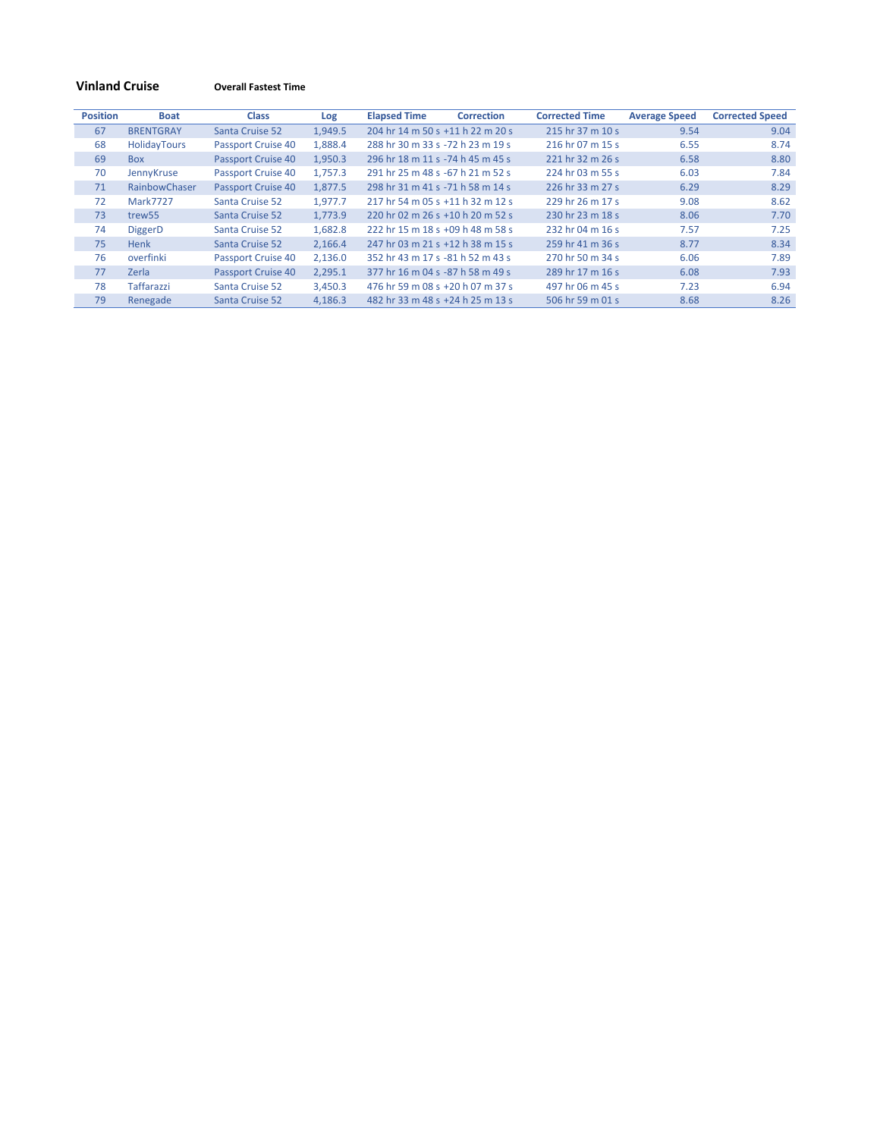# **Vinland Cruise Overall Fastest Time**

| <b>Position</b> | <b>Boat</b>        | <b>Class</b>       | Log     | <b>Elapsed Time</b>              | <b>Correction</b> | <b>Corrected Time</b> | <b>Average Speed</b> | <b>Corrected Speed</b> |
|-----------------|--------------------|--------------------|---------|----------------------------------|-------------------|-----------------------|----------------------|------------------------|
| 67              | <b>BRENTGRAY</b>   | Santa Cruise 52    | 1,949.5 | 204 hr 14 m 50 s +11 h 22 m 20 s |                   | 215 hr 37 m 10 s      | 9.54                 | 9.04                   |
| 68              | HolidayTours       | Passport Cruise 40 | 1,888.4 | 288 hr 30 m 33 s -72 h 23 m 19 s |                   | 216 hr 07 m 15 s      | 6.55                 | 8.74                   |
| 69              | <b>Box</b>         | Passport Cruise 40 | 1.950.3 | 296 hr 18 m 11 s -74 h 45 m 45 s |                   | 221 hr 32 m 26 s      | 6.58                 | 8.80                   |
| 70              | JennyKruse         | Passport Cruise 40 | 1.757.3 | 291 hr 25 m 48 s -67 h 21 m 52 s |                   | 224 hr 03 m 55 s      | 6.03                 | 7.84                   |
| 71              | RainbowChaser      | Passport Cruise 40 | 1,877.5 | 298 hr 31 m 41 s -71 h 58 m 14 s |                   | 226 hr 33 m 27 s      | 6.29                 | 8.29                   |
| 72              | <b>Mark7727</b>    | Santa Cruise 52    | 1.977.7 | 217 hr 54 m 05 s +11 h 32 m 12 s |                   | 229 hr 26 m 17 s      | 9.08                 | 8.62                   |
| 73              | trew <sub>55</sub> | Santa Cruise 52    | 1.773.9 | 220 hr 02 m 26 s +10 h 20 m 52 s |                   | 230 hr 23 m 18 s      | 8.06                 | 7.70                   |
| 74              | <b>DiggerD</b>     | Santa Cruise 52    | 1,682.8 | 222 hr 15 m 18 s +09 h 48 m 58 s |                   | 232 hr 04 m 16 s      | 7.57                 | 7.25                   |
| 75              | Henk               | Santa Cruise 52    | 2,166.4 | 247 hr 03 m 21 s +12 h 38 m 15 s |                   | 259 hr 41 m 36 s      | 8.77                 | 8.34                   |
| 76              | overfinki          | Passport Cruise 40 | 2,136.0 | 352 hr 43 m 17 s -81 h 52 m 43 s |                   | 270 hr 50 m 34 s      | 6.06                 | 7.89                   |
| 77              | Zerla              | Passport Cruise 40 | 2.295.1 | 377 hr 16 m 04 s -87 h 58 m 49 s |                   | 289 hr 17 m 16 s      | 6.08                 | 7.93                   |
| 78              | Taffarazzi         | Santa Cruise 52    | 3,450.3 | 476 hr 59 m 08 s +20 h 07 m 37 s |                   | 497 hr 06 m 45 s      | 7.23                 | 6.94                   |
| 79              | Renegade           | Santa Cruise 52    | 4,186.3 | 482 hr 33 m 48 s +24 h 25 m 13 s |                   | 506 hr 59 m 01 s      | 8.68                 | 8.26                   |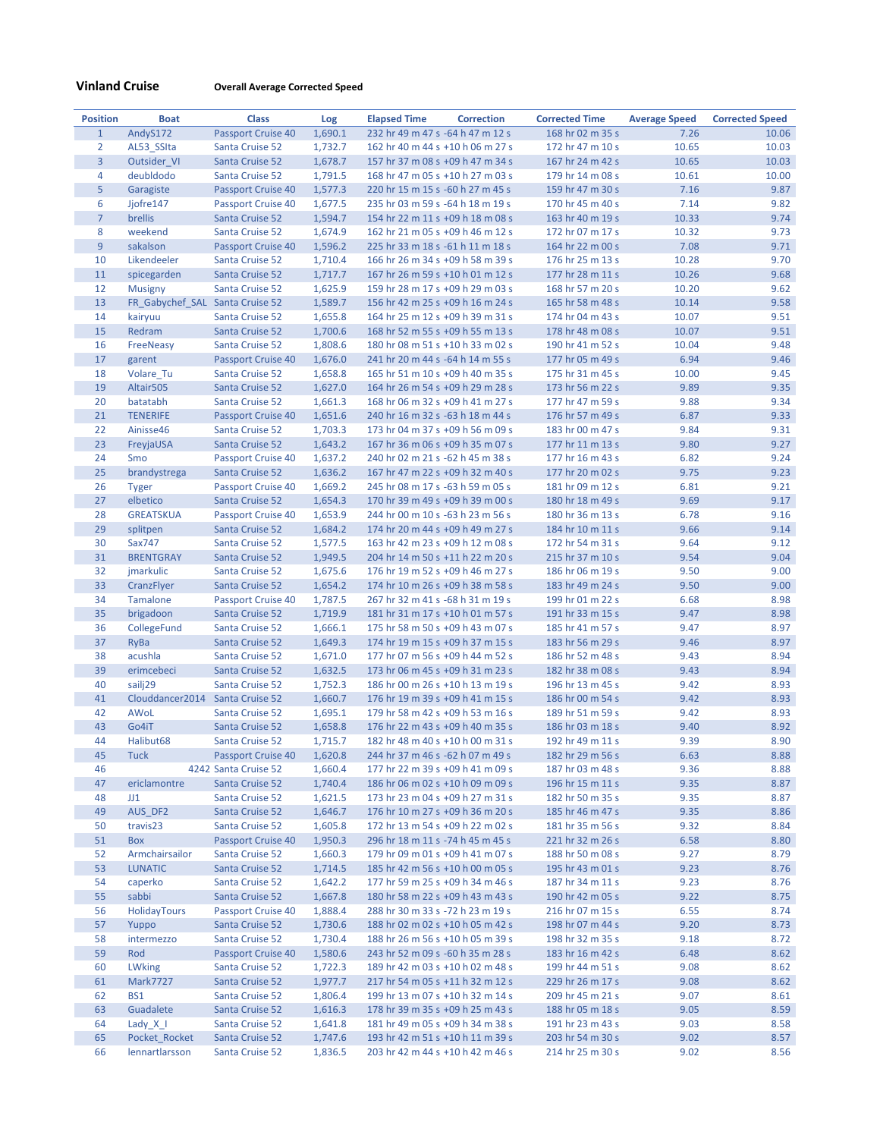# **Vinland Cruise Overall Average Corrected Speed**

| <b>Position</b> | <b>Boat</b>                     | <b>Class</b>                          | Log     | <b>Elapsed Time</b>              | <b>Correction</b> | <b>Corrected Time</b> | <b>Average Speed</b> | <b>Corrected Speed</b> |
|-----------------|---------------------------------|---------------------------------------|---------|----------------------------------|-------------------|-----------------------|----------------------|------------------------|
| $\mathbf{1}$    | AndyS172                        | <b>Passport Cruise 40</b>             | 1,690.1 | 232 hr 49 m 47 s -64 h 47 m 12 s |                   | 168 hr 02 m 35 s      | 7.26                 | 10.06                  |
| $\overline{2}$  | AL53_SSIta                      | Santa Cruise 52                       | 1,732.7 | 162 hr 40 m 44 s +10 h 06 m 27 s |                   | 172 hr 47 m 10 s      | 10.65                | 10.03                  |
| $\overline{3}$  | Outsider VI                     | Santa Cruise 52                       | 1,678.7 | 157 hr 37 m 08 s +09 h 47 m 34 s |                   | 167 hr 24 m 42 s      | 10.65                | 10.03                  |
| 4               | deubldodo                       | Santa Cruise 52                       | 1,791.5 | 168 hr 47 m 05 s +10 h 27 m 03 s |                   | 179 hr 14 m 08 s      | 10.61                | 10.00                  |
| 5               | Garagiste                       | <b>Passport Cruise 40</b>             | 1,577.3 | 220 hr 15 m 15 s -60 h 27 m 45 s |                   | 159 hr 47 m 30 s      | 7.16                 | 9.87                   |
| 6               | Jjofre147                       | Passport Cruise 40                    | 1,677.5 | 235 hr 03 m 59 s -64 h 18 m 19 s |                   | 170 hr 45 m 40 s      | 7.14                 | 9.82                   |
| $\overline{7}$  | brellis                         | Santa Cruise 52                       | 1,594.7 | 154 hr 22 m 11 s +09 h 18 m 08 s |                   | 163 hr 40 m 19 s      | 10.33                | 9.74                   |
| 8               | weekend                         | Santa Cruise 52                       | 1,674.9 | 162 hr 21 m 05 s +09 h 46 m 12 s |                   | 172 hr 07 m 17 s      | 10.32                | 9.73                   |
| 9               | sakalson                        | Passport Cruise 40                    | 1,596.2 | 225 hr 33 m 18 s -61 h 11 m 18 s |                   | 164 hr 22 m 00 s      | 7.08                 | 9.71                   |
| 10              | Likendeeler                     | Santa Cruise 52                       | 1,710.4 | 166 hr 26 m 34 s +09 h 58 m 39 s |                   | 176 hr 25 m 13 s      | 10.28                | 9.70                   |
| 11              | spicegarden                     | Santa Cruise 52                       | 1,717.7 | 167 hr 26 m 59 s +10 h 01 m 12 s |                   | 177 hr 28 m 11 s      | 10.26                | 9.68                   |
| 12              | <b>Musigny</b>                  | Santa Cruise 52                       | 1,625.9 | 159 hr 28 m 17 s +09 h 29 m 03 s |                   | 168 hr 57 m 20 s      | 10.20                | 9.62                   |
| 13              | FR Gabychef SAL Santa Cruise 52 |                                       | 1,589.7 | 156 hr 42 m 25 s +09 h 16 m 24 s |                   | 165 hr 58 m 48 s      | 10.14                | 9.58                   |
| 14              | kairyuu                         | Santa Cruise 52                       | 1,655.8 | 164 hr 25 m 12 s +09 h 39 m 31 s |                   | 174 hr 04 m 43 s      | 10.07                | 9.51                   |
| 15              | Redram                          | Santa Cruise 52                       | 1,700.6 | 168 hr 52 m 55 s +09 h 55 m 13 s |                   | 178 hr 48 m 08 s      | 10.07                | 9.51                   |
| 16              | FreeNeasy                       | Santa Cruise 52                       | 1,808.6 | 180 hr 08 m 51 s +10 h 33 m 02 s |                   | 190 hr 41 m 52 s      | 10.04                | 9.48                   |
| 17              | garent                          | Passport Cruise 40                    | 1,676.0 | 241 hr 20 m 44 s -64 h 14 m 55 s |                   | 177 hr 05 m 49 s      | 6.94                 | 9.46                   |
| 18              | Volare_Tu                       | Santa Cruise 52                       | 1,658.8 | 165 hr 51 m 10 s +09 h 40 m 35 s |                   | 175 hr 31 m 45 s      | 10.00                | 9.45                   |
| 19              | Altair505                       | Santa Cruise 52                       | 1,627.0 | 164 hr 26 m 54 s +09 h 29 m 28 s |                   | 173 hr 56 m 22 s      | 9.89                 | 9.35                   |
| 20              | batatabh                        | Santa Cruise 52                       | 1,661.3 | 168 hr 06 m 32 s +09 h 41 m 27 s |                   | 177 hr 47 m 59 s      | 9.88                 | 9.34                   |
| 21              | <b>TENERIFE</b>                 |                                       |         | 240 hr 16 m 32 s -63 h 18 m 44 s |                   | 176 hr 57 m 49 s      | 6.87                 | 9.33                   |
| 22              |                                 | Passport Cruise 40<br>Santa Cruise 52 | 1,651.6 |                                  |                   |                       | 9.84                 | 9.31                   |
|                 | Ainisse46                       |                                       | 1,703.3 | 173 hr 04 m 37 s +09 h 56 m 09 s |                   | 183 hr 00 m 47 s      |                      |                        |
| 23              | FreyjaUSA                       | Santa Cruise 52                       | 1,643.2 | 167 hr 36 m 06 s +09 h 35 m 07 s |                   | 177 hr 11 m 13 s      | 9.80                 | 9.27                   |
| 24              | Smo                             | Passport Cruise 40                    | 1,637.2 | 240 hr 02 m 21 s -62 h 45 m 38 s |                   | 177 hr 16 m 43 s      | 6.82                 | 9.24                   |
| 25              | brandystrega                    | Santa Cruise 52                       | 1,636.2 | 167 hr 47 m 22 s +09 h 32 m 40 s |                   | 177 hr 20 m 02 s      | 9.75                 | 9.23                   |
| 26              | <b>Tyger</b>                    | Passport Cruise 40                    | 1,669.2 | 245 hr 08 m 17 s -63 h 59 m 05 s |                   | 181 hr 09 m 12 s      | 6.81                 | 9.21                   |
| 27              | elbetico                        | Santa Cruise 52                       | 1,654.3 | 170 hr 39 m 49 s +09 h 39 m 00 s |                   | 180 hr 18 m 49 s      | 9.69                 | 9.17                   |
| 28              | <b>GREATSKUA</b>                | <b>Passport Cruise 40</b>             | 1,653.9 | 244 hr 00 m 10 s -63 h 23 m 56 s |                   | 180 hr 36 m 13 s      | 6.78                 | 9.16                   |
| 29              | splitpen                        | Santa Cruise 52                       | 1,684.2 | 174 hr 20 m 44 s +09 h 49 m 27 s |                   | 184 hr 10 m 11 s      | 9.66                 | 9.14                   |
| 30              | Sax747                          | Santa Cruise 52                       | 1,577.5 | 163 hr 42 m 23 s +09 h 12 m 08 s |                   | 172 hr 54 m 31 s      | 9.64                 | 9.12                   |
| 31              | <b>BRENTGRAY</b>                | Santa Cruise 52                       | 1,949.5 | 204 hr 14 m 50 s +11 h 22 m 20 s |                   | 215 hr 37 m 10 s      | 9.54                 | 9.04                   |
| 32              | jmarkulic                       | Santa Cruise 52                       | 1,675.6 | 176 hr 19 m 52 s +09 h 46 m 27 s |                   | 186 hr 06 m 19 s      | 9.50                 | 9.00                   |
| 33              | CranzFlyer                      | Santa Cruise 52                       | 1,654.2 | 174 hr 10 m 26 s +09 h 38 m 58 s |                   | 183 hr 49 m 24 s      | 9.50                 | 9.00                   |
| 34              | Tamalone                        | <b>Passport Cruise 40</b>             | 1,787.5 | 267 hr 32 m 41 s -68 h 31 m 19 s |                   | 199 hr 01 m 22 s      | 6.68                 | 8.98                   |
| 35              | brigadoon                       | Santa Cruise 52                       | 1,719.9 | 181 hr 31 m 17 s +10 h 01 m 57 s |                   | 191 hr 33 m 15 s      | 9.47                 | 8.98                   |
| 36              | CollegeFund                     | Santa Cruise 52                       | 1,666.1 | 175 hr 58 m 50 s +09 h 43 m 07 s |                   | 185 hr 41 m 57 s      | 9.47                 | 8.97                   |
| 37              | RyBa                            | Santa Cruise 52                       | 1,649.3 | 174 hr 19 m 15 s +09 h 37 m 15 s |                   | 183 hr 56 m 29 s      | 9.46                 | 8.97                   |
| 38              | acushla                         | Santa Cruise 52                       | 1,671.0 | 177 hr 07 m 56 s +09 h 44 m 52 s |                   | 186 hr 52 m 48 s      | 9.43                 | 8.94                   |
| 39              | erimcebeci                      | Santa Cruise 52                       | 1,632.5 | 173 hr 06 m 45 s +09 h 31 m 23 s |                   | 182 hr 38 m 08 s      | 9.43                 | 8.94                   |
| 40              | sailj29                         | Santa Cruise 52                       | 1,752.3 | 186 hr 00 m 26 s +10 h 13 m 19 s |                   | 196 hr 13 m 45 s      | 9.42                 | 8.93                   |
| 41              | Clouddancer2014 Santa Cruise 52 |                                       | 1,660.7 | 176 hr 19 m 39 s +09 h 41 m 15 s |                   | 186 hr 00 m 54 s      | 9.42                 | 8.93                   |
| 42              | AWoL                            | Santa Cruise 52                       | 1,695.1 | 179 hr 58 m 42 s +09 h 53 m 16 s |                   | 189 hr 51 m 59 s      | 9.42                 | 8.93                   |
| 43              | Go4iT                           | Santa Cruise 52                       | 1,658.8 | 176 hr 22 m 43 s +09 h 40 m 35 s |                   | 186 hr 03 m 18 s      | 9.40                 | 8.92                   |
| 44              | Halibut68                       | Santa Cruise 52                       | 1,715.7 | 182 hr 48 m 40 s +10 h 00 m 31 s |                   | 192 hr 49 m 11 s      | 9.39                 | 8.90                   |
| 45              | <b>Tuck</b>                     | Passport Cruise 40                    | 1,620.8 | 244 hr 37 m 46 s -62 h 07 m 49 s |                   | 182 hr 29 m 56 s      | 6.63                 | 8.88                   |
| 46              |                                 | 4242 Santa Cruise 52                  | 1,660.4 | 177 hr 22 m 39 s +09 h 41 m 09 s |                   | 187 hr 03 m 48 s      | 9.36                 | 8.88                   |
| 47              | ericlamontre                    | Santa Cruise 52                       | 1,740.4 | 186 hr 06 m 02 s +10 h 09 m 09 s |                   | 196 hr 15 m 11 s      | 9.35                 | 8.87                   |
| 48              | JJ1                             | Santa Cruise 52                       | 1,621.5 | 173 hr 23 m 04 s +09 h 27 m 31 s |                   | 182 hr 50 m 35 s      | 9.35                 | 8.87                   |
| 49              | AUS_DF2                         | Santa Cruise 52                       | 1,646.7 | 176 hr 10 m 27 s +09 h 36 m 20 s |                   | 185 hr 46 m 47 s      | 9.35                 | 8.86                   |
| 50              | travis23                        | Santa Cruise 52                       | 1,605.8 | 172 hr 13 m 54 s +09 h 22 m 02 s |                   | 181 hr 35 m 56 s      | 9.32                 | 8.84                   |
| 51              | Box                             | Passport Cruise 40                    | 1,950.3 | 296 hr 18 m 11 s -74 h 45 m 45 s |                   | 221 hr 32 m 26 s      | 6.58                 | 8.80                   |
| 52              | Armchairsailor                  | Santa Cruise 52                       | 1,660.3 | 179 hr 09 m 01 s +09 h 41 m 07 s |                   | 188 hr 50 m 08 s      | 9.27                 | 8.79                   |
| 53              | <b>LUNATIC</b>                  | Santa Cruise 52                       | 1,714.5 | 185 hr 42 m 56 s +10 h 00 m 05 s |                   | 195 hr 43 m 01 s      | 9.23                 | 8.76                   |
| 54              | caperko                         | Santa Cruise 52                       | 1,642.2 | 177 hr 59 m 25 s +09 h 34 m 46 s |                   | 187 hr 34 m 11 s      | 9.23                 | 8.76                   |
| 55              | sabbi                           | Santa Cruise 52                       | 1,667.8 | 180 hr 58 m 22 s +09 h 43 m 43 s |                   | 190 hr 42 m 05 s      | 9.22                 | 8.75                   |
| 56              | <b>HolidayTours</b>             | Passport Cruise 40                    | 1,888.4 | 288 hr 30 m 33 s -72 h 23 m 19 s |                   | 216 hr 07 m 15 s      | 6.55                 | 8.74                   |
| 57              | Yuppo                           | Santa Cruise 52                       | 1,730.6 | 188 hr 02 m 02 s +10 h 05 m 42 s |                   | 198 hr 07 m 44 s      | 9.20                 | 8.73                   |
| 58              | intermezzo                      | Santa Cruise 52                       | 1,730.4 | 188 hr 26 m 56 s +10 h 05 m 39 s |                   | 198 hr 32 m 35 s      | 9.18                 | 8.72                   |
| 59              | Rod                             | Passport Cruise 40                    | 1,580.6 | 243 hr 52 m 09 s -60 h 35 m 28 s |                   | 183 hr 16 m 42 s      | 6.48                 | 8.62                   |
| 60              | <b>LWking</b>                   | Santa Cruise 52                       | 1,722.3 | 189 hr 42 m 03 s +10 h 02 m 48 s |                   | 199 hr 44 m 51 s      | 9.08                 | 8.62                   |
| 61              | Mark7727                        | Santa Cruise 52                       | 1,977.7 | 217 hr 54 m 05 s +11 h 32 m 12 s |                   | 229 hr 26 m 17 s      | 9.08                 | 8.62                   |
| 62              | BS <sub>1</sub>                 | Santa Cruise 52                       | 1,806.4 | 199 hr 13 m 07 s +10 h 32 m 14 s |                   | 209 hr 45 m 21 s      | 9.07                 | 8.61                   |
| 63              | Guadalete                       | Santa Cruise 52                       | 1,616.3 | 178 hr 39 m 35 s +09 h 25 m 43 s |                   | 188 hr 05 m 18 s      | 9.05                 | 8.59                   |
| 64              | Lady $X$ I                      | Santa Cruise 52                       | 1,641.8 | 181 hr 49 m 05 s +09 h 34 m 38 s |                   | 191 hr 23 m 43 s      | 9.03                 | 8.58                   |
| 65              | Pocket_Rocket                   | Santa Cruise 52                       | 1,747.6 | 193 hr 42 m 51 s +10 h 11 m 39 s |                   | 203 hr 54 m 30 s      | 9.02                 | 8.57                   |
| 66              | lennartlarsson                  | Santa Cruise 52                       | 1,836.5 | 203 hr 42 m 44 s +10 h 42 m 46 s |                   | 214 hr 25 m 30 s      | 9.02                 | 8.56                   |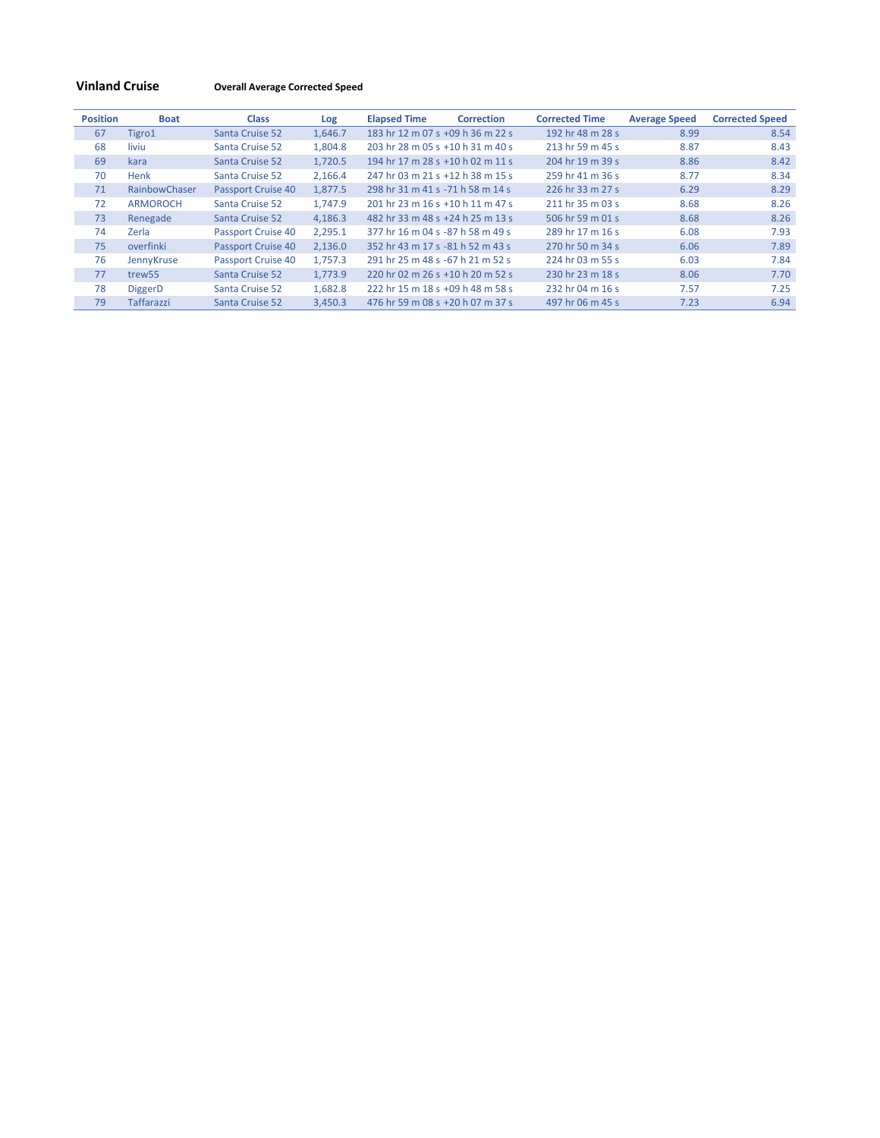# **Vinland Cruise Overall Average Corrected Speed**

| <b>Position</b> | <b>Boat</b>        | <b>Class</b>       | Log     | <b>Elapsed Time</b>              | <b>Correction</b> | <b>Corrected Time</b> | <b>Average Speed</b> | <b>Corrected Speed</b> |
|-----------------|--------------------|--------------------|---------|----------------------------------|-------------------|-----------------------|----------------------|------------------------|
| 67              | Tigro1             | Santa Cruise 52    | 1.646.7 | 183 hr 12 m 07 s +09 h 36 m 22 s |                   | 192 hr 48 m 28 s      | 8.99                 | 8.54                   |
| 68              | liviu              | Santa Cruise 52    | 1,804.8 | 203 hr 28 m 05 s +10 h 31 m 40 s |                   | 213 hr 59 m 45 s      | 8.87                 | 8.43                   |
| 69              | kara               | Santa Cruise 52    | 1,720.5 | 194 hr 17 m 28 s +10 h 02 m 11 s |                   | 204 hr 19 m 39 s      | 8.86                 | 8.42                   |
| 70              | Henk               | Santa Cruise 52    | 2,166.4 | 247 hr 03 m 21 s +12 h 38 m 15 s |                   | 259 hr 41 m 36 s      | 8.77                 | 8.34                   |
| 71              | RainbowChaser      | Passport Cruise 40 | 1.877.5 | 298 hr 31 m 41 s -71 h 58 m 14 s |                   | 226 hr 33 m 27 s      | 6.29                 | 8.29                   |
| 72              | <b>ARMOROCH</b>    | Santa Cruise 52    | 1.747.9 | 201 hr 23 m 16 s +10 h 11 m 47 s |                   | 211 hr 35 m 03 s      | 8.68                 | 8.26                   |
| 73              | Renegade           | Santa Cruise 52    | 4,186.3 | 482 hr 33 m 48 s +24 h 25 m 13 s |                   | 506 hr 59 m 01 s      | 8.68                 | 8.26                   |
| 74              | Zerla              | Passport Cruise 40 | 2,295.1 | 377 hr 16 m 04 s -87 h 58 m 49 s |                   | 289 hr 17 m 16 s      | 6.08                 | 7.93                   |
| 75              | overfinki          | Passport Cruise 40 | 2,136.0 | 352 hr 43 m 17 s -81 h 52 m 43 s |                   | 270 hr 50 m 34 s      | 6.06                 | 7.89                   |
| 76              | JennyKruse         | Passport Cruise 40 | 1.757.3 | 291 hr 25 m 48 s -67 h 21 m 52 s |                   | 224 hr 03 m 55 s      | 6.03                 | 7.84                   |
| 77              | trew <sub>55</sub> | Santa Cruise 52    | 1.773.9 | 220 hr 02 m 26 s +10 h 20 m 52 s |                   | 230 hr 23 m 18 s      | 8.06                 | 7.70                   |
| 78              | DiggerD            | Santa Cruise 52    | 1.682.8 | 222 hr 15 m 18 s +09 h 48 m 58 s |                   | 232 hr 04 m 16 s      | 7.57                 | 7.25                   |
| 79              | <b>Taffarazzi</b>  | Santa Cruise 52    | 3,450.3 | 476 hr 59 m 08 s +20 h 07 m 37 s |                   | 497 hr 06 m 45 s      | 7.23                 | 6.94                   |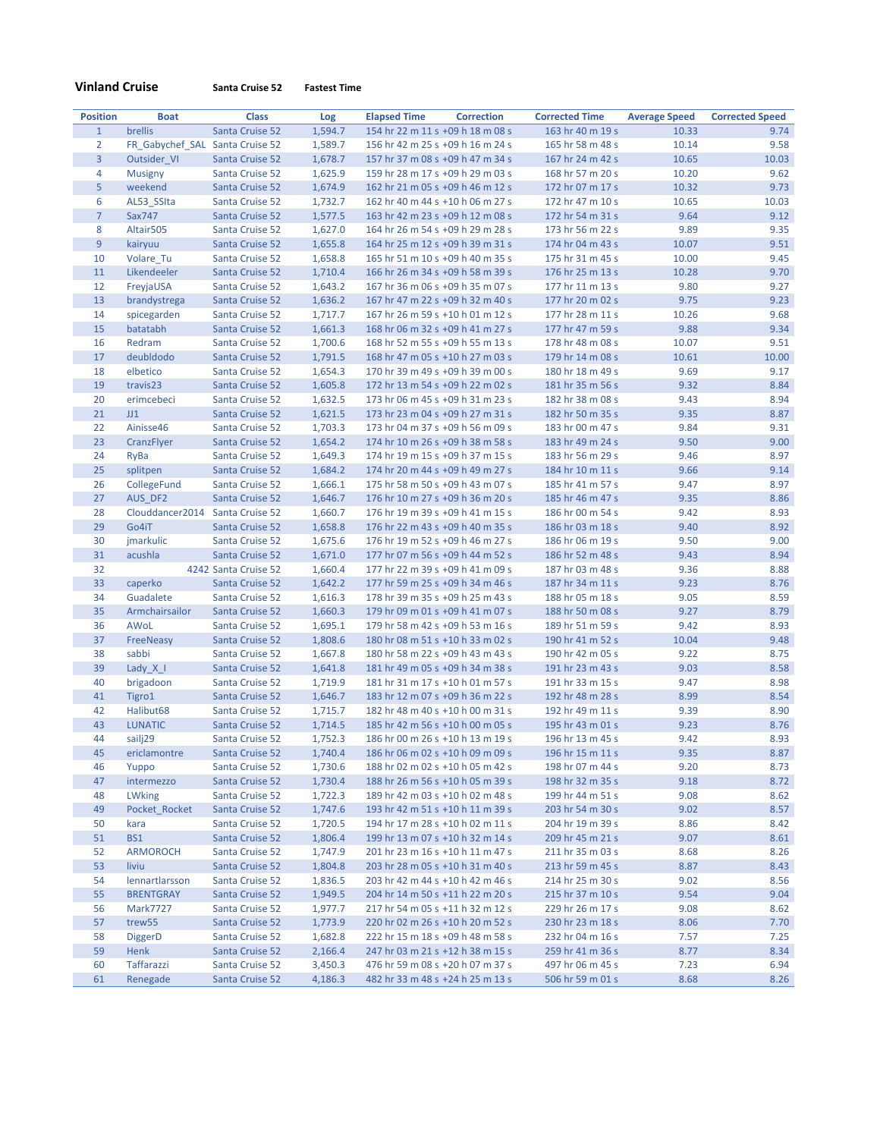|  | <b>Vinland Cruise</b> |
|--|-----------------------|
|  |                       |

**Vinland Cruise Santa Cruise 52 Fastest Time**

| <b>Position</b> | <b>Boat</b>                     | <b>Class</b>         | Log     | <b>Elapsed Time</b> | <b>Correction</b>                | <b>Corrected Time</b> | <b>Average Speed</b> | <b>Corrected Speed</b> |
|-----------------|---------------------------------|----------------------|---------|---------------------|----------------------------------|-----------------------|----------------------|------------------------|
| $\mathbf{1}$    | brellis                         | Santa Cruise 52      | 1,594.7 |                     | 154 hr 22 m 11 s +09 h 18 m 08 s | 163 hr 40 m 19 s      | 10.33                | 9.74                   |
| $\overline{2}$  | FR_Gabychef_SAL Santa Cruise 52 |                      | 1,589.7 |                     | 156 hr 42 m 25 s +09 h 16 m 24 s | 165 hr 58 m 48 s      | 10.14                | 9.58                   |
| $\overline{3}$  | Outsider VI                     | Santa Cruise 52      | 1,678.7 |                     | 157 hr 37 m 08 s +09 h 47 m 34 s | 167 hr 24 m 42 s      | 10.65                | 10.03                  |
| 4               | <b>Musigny</b>                  | Santa Cruise 52      | 1,625.9 |                     | 159 hr 28 m 17 s +09 h 29 m 03 s | 168 hr 57 m 20 s      | 10.20                | 9.62                   |
| 5               | weekend                         | Santa Cruise 52      | 1,674.9 |                     | 162 hr 21 m 05 s +09 h 46 m 12 s | 172 hr 07 m 17 s      | 10.32                | 9.73                   |
| 6               | AL53 SSIta                      | Santa Cruise 52      | 1,732.7 |                     | 162 hr 40 m 44 s +10 h 06 m 27 s | 172 hr 47 m 10 s      | 10.65                | 10.03                  |
| $\overline{7}$  | Sax747                          | Santa Cruise 52      | 1,577.5 |                     | 163 hr 42 m 23 s +09 h 12 m 08 s | 172 hr 54 m 31 s      | 9.64                 | 9.12                   |
| 8               | Altair505                       | Santa Cruise 52      | 1,627.0 |                     | 164 hr 26 m 54 s +09 h 29 m 28 s | 173 hr 56 m 22 s      | 9.89                 | 9.35                   |
| $\overline{9}$  | kairyuu                         | Santa Cruise 52      | 1,655.8 |                     | 164 hr 25 m 12 s +09 h 39 m 31 s | 174 hr 04 m 43 s      | 10.07                | 9.51                   |
| 10              | Volare Tu                       | Santa Cruise 52      | 1,658.8 |                     | 165 hr 51 m 10 s +09 h 40 m 35 s | 175 hr 31 m 45 s      | 10.00                | 9.45                   |
| 11              | Likendeeler                     | Santa Cruise 52      | 1,710.4 |                     | 166 hr 26 m 34 s +09 h 58 m 39 s | 176 hr 25 m 13 s      | 10.28                | 9.70                   |
| 12              | FreyjaUSA                       | Santa Cruise 52      | 1,643.2 |                     | 167 hr 36 m 06 s +09 h 35 m 07 s | 177 hr 11 m 13 s      | 9.80                 | 9.27                   |
| 13              | brandystrega                    | Santa Cruise 52      | 1,636.2 |                     | 167 hr 47 m 22 s +09 h 32 m 40 s | 177 hr 20 m 02 s      | 9.75                 | 9.23                   |
| 14              | spicegarden                     | Santa Cruise 52      | 1,717.7 |                     | 167 hr 26 m 59 s +10 h 01 m 12 s | 177 hr 28 m 11 s      | 10.26                | 9.68                   |
| 15              | batatabh                        | Santa Cruise 52      | 1,661.3 |                     | 168 hr 06 m 32 s +09 h 41 m 27 s | 177 hr 47 m 59 s      | 9.88                 | 9.34                   |
| 16              | Redram                          | Santa Cruise 52      | 1,700.6 |                     | 168 hr 52 m 55 s +09 h 55 m 13 s | 178 hr 48 m 08 s      | 10.07                | 9.51                   |
| 17              | deubldodo                       | Santa Cruise 52      | 1,791.5 |                     | 168 hr 47 m 05 s +10 h 27 m 03 s | 179 hr 14 m 08 s      | 10.61                | 10.00                  |
| 18              | elbetico                        | Santa Cruise 52      | 1,654.3 |                     | 170 hr 39 m 49 s +09 h 39 m 00 s | 180 hr 18 m 49 s      | 9.69                 | 9.17                   |
| 19              | travis23                        | Santa Cruise 52      | 1,605.8 |                     | 172 hr 13 m 54 s +09 h 22 m 02 s | 181 hr 35 m 56 s      | 9.32                 | 8.84                   |
| 20              | erimcebeci                      | Santa Cruise 52      | 1,632.5 |                     | 173 hr 06 m 45 s +09 h 31 m 23 s | 182 hr 38 m 08 s      | 9.43                 | 8.94                   |
| 21              | JJ1                             | Santa Cruise 52      | 1,621.5 |                     | 173 hr 23 m 04 s +09 h 27 m 31 s | 182 hr 50 m 35 s      | 9.35                 | 8.87                   |
| 22              | Ainisse46                       | Santa Cruise 52      | 1.703.3 |                     | 173 hr 04 m 37 s +09 h 56 m 09 s | 183 hr 00 m 47 s      | 9.84                 | 9.31                   |
| 23              | CranzFlyer                      | Santa Cruise 52      | 1,654.2 |                     | 174 hr 10 m 26 s +09 h 38 m 58 s | 183 hr 49 m 24 s      | 9.50                 | 9.00                   |
| 24              | <b>RyBa</b>                     | Santa Cruise 52      | 1,649.3 |                     | 174 hr 19 m 15 s +09 h 37 m 15 s | 183 hr 56 m 29 s      | 9.46                 | 8.97                   |
| 25              | splitpen                        | Santa Cruise 52      | 1,684.2 |                     | 174 hr 20 m 44 s +09 h 49 m 27 s | 184 hr 10 m 11 s      | 9.66                 | 9.14                   |
| 26              | CollegeFund                     | Santa Cruise 52      | 1,666.1 |                     | 175 hr 58 m 50 s +09 h 43 m 07 s | 185 hr 41 m 57 s      | 9.47                 | 8.97                   |
| 27              | AUS DF2                         | Santa Cruise 52      | 1,646.7 |                     | 176 hr 10 m 27 s +09 h 36 m 20 s | 185 hr 46 m 47 s      | 9.35                 | 8.86                   |
| 28              | Clouddancer2014 Santa Cruise 52 |                      | 1,660.7 |                     | 176 hr 19 m 39 s +09 h 41 m 15 s | 186 hr 00 m 54 s      | 9.42                 | 8.93                   |
| 29              | Go4iT                           | Santa Cruise 52      | 1,658.8 |                     | 176 hr 22 m 43 s +09 h 40 m 35 s | 186 hr 03 m 18 s      | 9.40                 | 8.92                   |
| 30              | jmarkulic                       | Santa Cruise 52      | 1,675.6 |                     | 176 hr 19 m 52 s +09 h 46 m 27 s | 186 hr 06 m 19 s      | 9.50                 | 9.00                   |
| 31              | acushla                         | Santa Cruise 52      | 1,671.0 |                     | 177 hr 07 m 56 s +09 h 44 m 52 s | 186 hr 52 m 48 s      | 9.43                 | 8.94                   |
| 32              |                                 | 4242 Santa Cruise 52 | 1,660.4 |                     | 177 hr 22 m 39 s +09 h 41 m 09 s | 187 hr 03 m 48 s      | 9.36                 | 8.88                   |
| 33              | caperko                         | Santa Cruise 52      | 1,642.2 |                     | 177 hr 59 m 25 s +09 h 34 m 46 s | 187 hr 34 m 11 s      | 9.23                 | 8.76                   |
| 34              | Guadalete                       | Santa Cruise 52      | 1,616.3 |                     | 178 hr 39 m 35 s +09 h 25 m 43 s | 188 hr 05 m 18 s      | 9.05                 | 8.59                   |
| 35              | Armchairsailor                  | Santa Cruise 52      | 1,660.3 |                     | 179 hr 09 m 01 s +09 h 41 m 07 s | 188 hr 50 m 08 s      | 9.27                 | 8.79                   |
| 36              | AWoL                            | Santa Cruise 52      | 1,695.1 |                     | 179 hr 58 m 42 s +09 h 53 m 16 s | 189 hr 51 m 59 s      | 9.42                 | 8.93                   |
| 37              | FreeNeasy                       | Santa Cruise 52      | 1,808.6 |                     | 180 hr 08 m 51 s +10 h 33 m 02 s | 190 hr 41 m 52 s      | 10.04                | 9.48                   |
| 38              | sabbi                           | Santa Cruise 52      | 1,667.8 |                     | 180 hr 58 m 22 s +09 h 43 m 43 s | 190 hr 42 m 05 s      | 9.22                 | 8.75                   |
| 39              | Lady $X \perp$                  | Santa Cruise 52      | 1,641.8 |                     | 181 hr 49 m 05 s +09 h 34 m 38 s | 191 hr 23 m 43 s      | 9.03                 | 8.58                   |
| 40              | brigadoon                       | Santa Cruise 52      | 1,719.9 |                     | 181 hr 31 m 17 s +10 h 01 m 57 s | 191 hr 33 m 15 s      | 9.47                 | 8.98                   |
| 41              | Tigro1                          | Santa Cruise 52      | 1,646.7 |                     | 183 hr 12 m 07 s +09 h 36 m 22 s | 192 hr 48 m 28 s      | 8.99                 | 8.54                   |
| 42              | Halibut68                       | Santa Cruise 52      | 1,715.7 |                     | 182 hr 48 m 40 s +10 h 00 m 31 s | 192 hr 49 m 11 s      | 9.39                 | 8.90                   |
| 43              | <b>LUNATIC</b>                  | Santa Cruise 52      | 1,714.5 |                     | 185 hr 42 m 56 s +10 h 00 m 05 s | 195 hr 43 m 01 s      | 9.23                 | 8.76                   |
| 44              | sailj29                         | Santa Cruise 52      | 1,752.3 |                     | 186 hr 00 m 26 s +10 h 13 m 19 s | 196 hr 13 m 45 s      | 9.42                 | 8.93                   |
| 45              | ericlamontre                    | Santa Cruise 52      | 1,740.4 |                     | 186 hr 06 m 02 s +10 h 09 m 09 s | 196 hr 15 m 11 s      | 9.35                 | 8.87                   |
| 46              | Yuppo                           | Santa Cruise 52      | 1,730.6 |                     | 188 hr 02 m 02 s +10 h 05 m 42 s | 198 hr 07 m 44 s      | 9.20                 | 8.73                   |
| 47              | intermezzo                      | Santa Cruise 52      | 1,730.4 |                     | 188 hr 26 m 56 s +10 h 05 m 39 s | 198 hr 32 m 35 s      | 9.18                 | 8.72                   |
| 48              | <b>LWking</b>                   | Santa Cruise 52      | 1,722.3 |                     | 189 hr 42 m 03 s +10 h 02 m 48 s | 199 hr 44 m 51 s      | 9.08                 | 8.62                   |
| 49              | Pocket Rocket                   | Santa Cruise 52      | 1,747.6 |                     | 193 hr 42 m 51 s +10 h 11 m 39 s | 203 hr 54 m 30 s      | 9.02                 | 8.57                   |
| 50              | kara                            | Santa Cruise 52      | 1,720.5 |                     | 194 hr 17 m 28 s +10 h 02 m 11 s | 204 hr 19 m 39 s      | 8.86                 | 8.42                   |
| 51              | <b>BS1</b>                      | Santa Cruise 52      | 1,806.4 |                     | 199 hr 13 m 07 s +10 h 32 m 14 s | 209 hr 45 m 21 s      | 9.07                 | 8.61                   |
| 52              | <b>ARMOROCH</b>                 | Santa Cruise 52      | 1,747.9 |                     | 201 hr 23 m 16 s +10 h 11 m 47 s | 211 hr 35 m 03 s      | 8.68                 | 8.26                   |
| 53              | liviu                           | Santa Cruise 52      | 1,804.8 |                     | 203 hr 28 m 05 s +10 h 31 m 40 s | 213 hr 59 m 45 s      | 8.87                 | 8.43                   |
| 54              | lennartlarsson                  | Santa Cruise 52      | 1,836.5 |                     | 203 hr 42 m 44 s +10 h 42 m 46 s | 214 hr 25 m 30 s      | 9.02                 | 8.56                   |
| 55              | <b>BRENTGRAY</b>                | Santa Cruise 52      | 1,949.5 |                     | 204 hr 14 m 50 s +11 h 22 m 20 s | 215 hr 37 m 10 s      | 9.54                 | 9.04                   |
| 56              | <b>Mark7727</b>                 | Santa Cruise 52      | 1,977.7 |                     | 217 hr 54 m 05 s +11 h 32 m 12 s | 229 hr 26 m 17 s      | 9.08                 | 8.62                   |
| 57              | trew55                          | Santa Cruise 52      | 1,773.9 |                     | 220 hr 02 m 26 s +10 h 20 m 52 s | 230 hr 23 m 18 s      | 8.06                 | 7.70                   |
| 58              | <b>DiggerD</b>                  | Santa Cruise 52      | 1,682.8 |                     | 222 hr 15 m 18 s +09 h 48 m 58 s | 232 hr 04 m 16 s      | 7.57                 | 7.25                   |
| 59              | Henk                            | Santa Cruise 52      | 2,166.4 |                     | 247 hr 03 m 21 s +12 h 38 m 15 s | 259 hr 41 m 36 s      | 8.77                 | 8.34                   |
| 60              | <b>Taffarazzi</b>               | Santa Cruise 52      | 3,450.3 |                     | 476 hr 59 m 08 s +20 h 07 m 37 s | 497 hr 06 m 45 s      | 7.23                 | 6.94                   |
| 61              | Renegade                        | Santa Cruise 52      | 4,186.3 |                     | 482 hr 33 m 48 s +24 h 25 m 13 s | 506 hr 59 m 01 s      | 8.68                 | 8.26                   |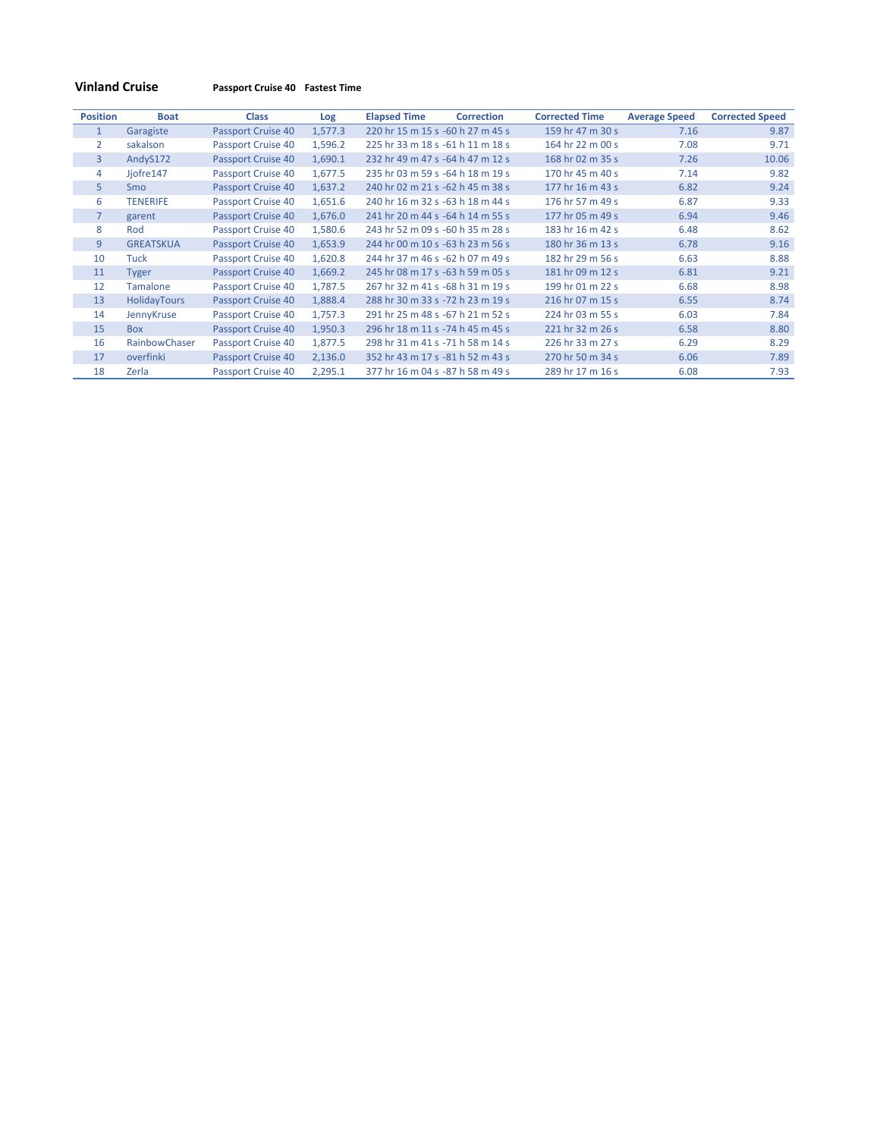**Vinland Cruise Passport Cruise 40 Fastest Time**

| <b>Position</b> | <b>Boat</b>      | <b>Class</b>       | Log     | <b>Elapsed Time</b>              | <b>Correction</b> | <b>Corrected Time</b> | <b>Average Speed</b> | <b>Corrected Speed</b> |
|-----------------|------------------|--------------------|---------|----------------------------------|-------------------|-----------------------|----------------------|------------------------|
| $\mathbf{1}$    | Garagiste        | Passport Cruise 40 | 1,577.3 | 220 hr 15 m 15 s -60 h 27 m 45 s |                   | 159 hr 47 m 30 s      | 7.16                 | 9.87                   |
| $\overline{2}$  | sakalson         | Passport Cruise 40 | 1,596.2 | 225 hr 33 m 18 s -61 h 11 m 18 s |                   | 164 hr 22 m 00 s      | 7.08                 | 9.71                   |
| 3               | AndyS172         | Passport Cruise 40 | 1,690.1 | 232 hr 49 m 47 s -64 h 47 m 12 s |                   | 168 hr 02 m 35 s      | 7.26                 | 10.06                  |
| 4               | Jjofre147        | Passport Cruise 40 | 1,677.5 | 235 hr 03 m 59 s -64 h 18 m 19 s |                   | 170 hr 45 m 40 s      | 7.14                 | 9.82                   |
| 5               | <b>Smo</b>       | Passport Cruise 40 | 1,637.2 | 240 hr 02 m 21 s -62 h 45 m 38 s |                   | 177 hr 16 m 43 s      | 6.82                 | 9.24                   |
| 6               | <b>TENERIFE</b>  | Passport Cruise 40 | 1,651.6 | 240 hr 16 m 32 s -63 h 18 m 44 s |                   | 176 hr 57 m 49 s      | 6.87                 | 9.33                   |
| 7               | garent           | Passport Cruise 40 | 1,676.0 | 241 hr 20 m 44 s -64 h 14 m 55 s |                   | 177 hr 05 m 49 s      | 6.94                 | 9.46                   |
| 8               | Rod              | Passport Cruise 40 | 1,580.6 | 243 hr 52 m 09 s -60 h 35 m 28 s |                   | 183 hr 16 m 42 s      | 6.48                 | 8.62                   |
| 9               | <b>GREATSKUA</b> | Passport Cruise 40 | 1,653.9 | 244 hr 00 m 10 s -63 h 23 m 56 s |                   | 180 hr 36 m 13 s      | 6.78                 | 9.16                   |
| 10              | Tuck             | Passport Cruise 40 | 1,620.8 | 244 hr 37 m 46 s -62 h 07 m 49 s |                   | 182 hr 29 m 56 s      | 6.63                 | 8.88                   |
| 11              | <b>Tyger</b>     | Passport Cruise 40 | 1,669.2 | 245 hr 08 m 17 s -63 h 59 m 05 s |                   | 181 hr 09 m 12 s      | 6.81                 | 9.21                   |
| 12              | <b>Tamalone</b>  | Passport Cruise 40 | 1,787.5 | 267 hr 32 m 41 s -68 h 31 m 19 s |                   | 199 hr 01 m 22 s      | 6.68                 | 8.98                   |
| 13              | HolidayTours     | Passport Cruise 40 | 1,888.4 | 288 hr 30 m 33 s -72 h 23 m 19 s |                   | 216 hr 07 m 15 s      | 6.55                 | 8.74                   |
| 14              | JennyKruse       | Passport Cruise 40 | 1,757.3 | 291 hr 25 m 48 s -67 h 21 m 52 s |                   | 224 hr 03 m 55 s      | 6.03                 | 7.84                   |
| 15              | <b>Box</b>       | Passport Cruise 40 | 1,950.3 | 296 hr 18 m 11 s -74 h 45 m 45 s |                   | 221 hr 32 m 26 s      | 6.58                 | 8.80                   |
| 16              | RainbowChaser    | Passport Cruise 40 | 1,877.5 | 298 hr 31 m 41 s -71 h 58 m 14 s |                   | 226 hr 33 m 27 s      | 6.29                 | 8.29                   |
| 17              | overfinki        | Passport Cruise 40 | 2,136.0 | 352 hr 43 m 17 s -81 h 52 m 43 s |                   | 270 hr 50 m 34 s      | 6.06                 | 7.89                   |
| 18              | Zerla            | Passport Cruise 40 | 2,295.1 | 377 hr 16 m 04 s -87 h 58 m 49 s |                   | 289 hr 17 m 16 s      | 6.08                 | 7.93                   |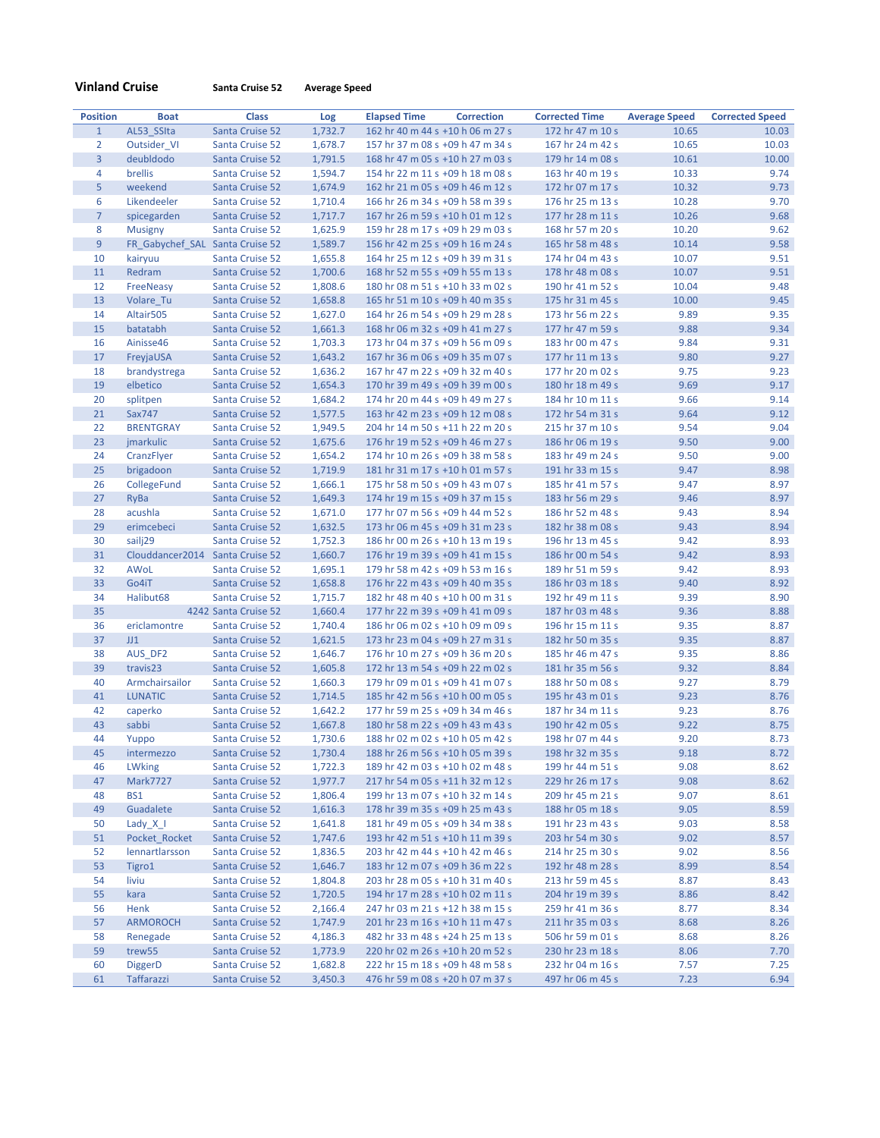|  | <b>Vinland Cruise</b> |  |
|--|-----------------------|--|
|  |                       |  |

**Vinland Cruise Santa Cruise 52 Average Speed**

| <b>Position</b> | <b>Boat</b>                     | <b>Class</b>                       | Log                | <b>Elapsed Time</b> | <b>Correction</b>                                                    | <b>Corrected Time</b>                | <b>Average Speed</b> | <b>Corrected Speed</b> |
|-----------------|---------------------------------|------------------------------------|--------------------|---------------------|----------------------------------------------------------------------|--------------------------------------|----------------------|------------------------|
| $\mathbf{1}$    | AL53 SSIta                      | Santa Cruise 52                    | 1,732.7            |                     | 162 hr 40 m 44 s +10 h 06 m 27 s                                     | 172 hr 47 m 10 s                     | 10.65                | 10.03                  |
| $\overline{2}$  | Outsider VI                     | Santa Cruise 52                    | 1,678.7            |                     | 157 hr 37 m 08 s +09 h 47 m 34 s                                     | 167 hr 24 m 42 s                     | 10.65                | 10.03                  |
| $\overline{3}$  | deubldodo                       | Santa Cruise 52                    | 1,791.5            |                     | 168 hr 47 m 05 s +10 h 27 m 03 s                                     | 179 hr 14 m 08 s                     | 10.61                | 10.00                  |
| 4               | brellis                         | Santa Cruise 52                    | 1,594.7            |                     | 154 hr 22 m 11 s +09 h 18 m 08 s                                     | 163 hr 40 m 19 s                     | 10.33                | 9.74                   |
| 5               | weekend                         | Santa Cruise 52                    | 1,674.9            |                     | 162 hr 21 m 05 s +09 h 46 m 12 s                                     | 172 hr 07 m 17 s                     | 10.32                | 9.73                   |
| 6               | Likendeeler                     | Santa Cruise 52                    | 1,710.4            |                     | 166 hr 26 m 34 s +09 h 58 m 39 s                                     | 176 hr 25 m 13 s                     | 10.28                | 9.70                   |
| $\overline{7}$  | spicegarden                     | Santa Cruise 52                    | 1,717.7            |                     | 167 hr 26 m 59 s +10 h 01 m 12 s                                     | 177 hr 28 m 11 s                     | 10.26                | 9.68                   |
| 8               | <b>Musigny</b>                  | Santa Cruise 52                    | 1,625.9            |                     | 159 hr 28 m 17 s +09 h 29 m 03 s                                     | 168 hr 57 m 20 s                     | 10.20                | 9.62                   |
| 9               | FR Gabychef SAL Santa Cruise 52 |                                    | 1,589.7            |                     | 156 hr 42 m 25 s +09 h 16 m 24 s                                     | 165 hr 58 m 48 s                     | 10.14                | 9.58                   |
| 10              | kairyuu                         | Santa Cruise 52                    | 1,655.8            |                     | 164 hr 25 m 12 s +09 h 39 m 31 s                                     | 174 hr 04 m 43 s                     | 10.07                | 9.51                   |
| 11              | Redram                          | Santa Cruise 52                    | 1,700.6            |                     | 168 hr 52 m 55 s +09 h 55 m 13 s                                     | 178 hr 48 m 08 s                     | 10.07                | 9.51                   |
| 12              | FreeNeasy                       | Santa Cruise 52                    | 1,808.6            |                     | 180 hr 08 m 51 s +10 h 33 m 02 s                                     | 190 hr 41 m 52 s                     | 10.04                | 9.48                   |
| 13              | Volare Tu                       | Santa Cruise 52                    | 1,658.8            |                     | 165 hr 51 m 10 s +09 h 40 m 35 s                                     | 175 hr 31 m 45 s                     | 10.00                | 9.45                   |
| 14              | Altair505                       | Santa Cruise 52                    | 1,627.0            |                     | 164 hr 26 m 54 s +09 h 29 m 28 s                                     | 173 hr 56 m 22 s                     | 9.89                 | 9.35                   |
| 15              | batatabh                        | Santa Cruise 52                    | 1,661.3            |                     | 168 hr 06 m 32 s +09 h 41 m 27 s                                     | 177 hr 47 m 59 s                     | 9.88                 | 9.34                   |
| 16              | Ainisse46                       | Santa Cruise 52                    | 1,703.3            |                     | 173 hr 04 m 37 s +09 h 56 m 09 s                                     | 183 hr 00 m 47 s                     | 9.84                 | 9.31                   |
| 17              | FreyjaUSA                       | Santa Cruise 52                    | 1,643.2            |                     | 167 hr 36 m 06 s +09 h 35 m 07 s                                     | 177 hr 11 m 13 s                     | 9.80                 | 9.27                   |
| 18              | brandystrega                    | Santa Cruise 52                    | 1,636.2            |                     | 167 hr 47 m 22 s +09 h 32 m 40 s                                     | 177 hr 20 m 02 s                     | 9.75                 | 9.23                   |
| 19              | elbetico                        | Santa Cruise 52                    | 1,654.3            |                     | 170 hr 39 m 49 s +09 h 39 m 00 s                                     | 180 hr 18 m 49 s                     | 9.69                 | 9.17                   |
| 20              | splitpen                        | Santa Cruise 52                    | 1,684.2            |                     | 174 hr 20 m 44 s +09 h 49 m 27 s                                     | 184 hr 10 m 11 s                     | 9.66                 | 9.14                   |
| 21              | Sax747                          | Santa Cruise 52                    | 1,577.5            |                     | 163 hr 42 m 23 s +09 h 12 m 08 s                                     | 172 hr 54 m 31 s                     | 9.64                 | 9.12                   |
| 22              | <b>BRENTGRAY</b>                | Santa Cruise 52                    | 1,949.5            |                     | 204 hr 14 m 50 s +11 h 22 m 20 s                                     | 215 hr 37 m 10 s                     | 9.54                 | 9.04                   |
| 23              | jmarkulic                       | Santa Cruise 52                    | 1,675.6            |                     | 176 hr 19 m 52 s +09 h 46 m 27 s                                     | 186 hr 06 m 19 s                     | 9.50                 | 9.00                   |
| 24              | CranzFlyer                      | Santa Cruise 52                    | 1,654.2            |                     | 174 hr 10 m 26 s +09 h 38 m 58 s                                     | 183 hr 49 m 24 s                     | 9.50                 | 9.00                   |
| 25              | brigadoon                       | Santa Cruise 52                    | 1,719.9            |                     | 181 hr 31 m 17 s +10 h 01 m 57 s                                     | 191 hr 33 m 15 s                     | 9.47                 | 8.98                   |
| 26              | CollegeFund                     | Santa Cruise 52                    | 1,666.1            |                     | 175 hr 58 m 50 s +09 h 43 m 07 s                                     | 185 hr 41 m 57 s                     | 9.47                 | 8.97                   |
| 27              | RyBa                            | Santa Cruise 52                    | 1.649.3            |                     | 174 hr 19 m 15 s +09 h 37 m 15 s                                     | 183 hr 56 m 29 s                     | 9.46                 | 8.97                   |
| 28              | acushla                         | Santa Cruise 52                    | 1,671.0            |                     | 177 hr 07 m 56 s +09 h 44 m 52 s                                     | 186 hr 52 m 48 s                     | 9.43                 | 8.94                   |
| 29              | erimcebeci                      | Santa Cruise 52                    | 1,632.5            |                     | 173 hr 06 m 45 s +09 h 31 m 23 s                                     | 182 hr 38 m 08 s                     | 9.43                 | 8.94                   |
| 30              | sailj29                         | Santa Cruise 52                    | 1,752.3            |                     | 186 hr 00 m 26 s +10 h 13 m 19 s                                     | 196 hr 13 m 45 s                     | 9.42                 | 8.93                   |
| 31              | Clouddancer2014                 | Santa Cruise 52                    | 1,660.7            |                     | 176 hr 19 m 39 s +09 h 41 m 15 s                                     | 186 hr 00 m 54 s                     | 9.42                 | 8.93                   |
| 32              | AWoL                            | Santa Cruise 52                    | 1,695.1            |                     | 179 hr 58 m 42 s +09 h 53 m 16 s                                     | 189 hr 51 m 59 s                     | 9.42                 | 8.93                   |
| 33              | Go4iT                           | Santa Cruise 52                    | 1,658.8            |                     | 176 hr 22 m 43 s +09 h 40 m 35 s                                     | 186 hr 03 m 18 s                     | 9.40                 | 8.92                   |
| 34              | Halibut68                       | Santa Cruise 52                    | 1,715.7            |                     | 182 hr 48 m 40 s +10 h 00 m 31 s                                     | 192 hr 49 m 11 s                     | 9.39                 | 8.90                   |
| 35              |                                 | 4242 Santa Cruise 52               | 1,660.4            |                     | 177 hr 22 m 39 s +09 h 41 m 09 s                                     | 187 hr 03 m 48 s                     | 9.36                 | 8.88                   |
| 36              | ericlamontre                    | Santa Cruise 52                    | 1,740.4            |                     | 186 hr 06 m 02 s +10 h 09 m 09 s                                     | 196 hr 15 m 11 s                     | 9.35                 | 8.87                   |
| 37              | JJ1                             | Santa Cruise 52                    | 1,621.5            |                     | 173 hr 23 m 04 s +09 h 27 m 31 s                                     | 182 hr 50 m 35 s                     | 9.35                 | 8.87                   |
| 38              | AUS_DF2                         | Santa Cruise 52                    | 1,646.7            |                     | 176 hr 10 m 27 s +09 h 36 m 20 s                                     | 185 hr 46 m 47 s                     | 9.35                 | 8.86                   |
| 39              | travis23                        | Santa Cruise 52                    | 1,605.8            |                     | 172 hr 13 m 54 s +09 h 22 m 02 s                                     | 181 hr 35 m 56 s                     | 9.32                 | 8.84                   |
| 40              | Armchairsailor                  | Santa Cruise 52                    | 1,660.3            |                     | 179 hr 09 m 01 s +09 h 41 m 07 s                                     | 188 hr 50 m 08 s                     | 9.27                 | 8.79                   |
| 41              | <b>LUNATIC</b>                  | Santa Cruise 52                    | 1,714.5            |                     | 185 hr 42 m 56 s +10 h 00 m 05 s                                     | 195 hr 43 m 01 s                     | 9.23                 | 8.76                   |
| 42              | caperko                         | Santa Cruise 52                    | 1,642.2            |                     | 177 hr 59 m 25 s +09 h 34 m 46 s                                     | 187 hr 34 m 11 s                     | 9.23                 | 8.76                   |
| 43              | sabbi                           | Santa Cruise 52                    | 1,667.8            |                     | 180 hr 58 m 22 s +09 h 43 m 43 s                                     | 190 hr 42 m 05 s                     | 9.22                 | 8.75                   |
| 44              | Yuppo                           | Santa Cruise 52                    | 1,730.6            |                     | 188 hr 02 m 02 s +10 h 05 m 42 s                                     | 198 hr 07 m 44 s                     | 9.20                 | 8.73                   |
| 45              | intermezzo                      | Santa Cruise 52                    | 1,730.4            |                     | 188 hr 26 m 56 s +10 h 05 m 39 s                                     | 198 hr 32 m 35 s                     | 9.18                 | 8.72                   |
| 46              | <b>LWking</b>                   | Santa Cruise 52                    | 1,722.3            |                     | 189 hr 42 m 03 s +10 h 02 m 48 s                                     | 199 hr 44 m 51 s                     | 9.08                 | 8.62                   |
| 47<br>48        | <b>Mark7727</b><br><b>BS1</b>   | Santa Cruise 52<br>Santa Cruise 52 | 1,977.7<br>1,806.4 |                     | 217 hr 54 m 05 s +11 h 32 m 12 s<br>199 hr 13 m 07 s +10 h 32 m 14 s | 229 hr 26 m 17 s<br>209 hr 45 m 21 s | 9.08<br>9.07         | 8.62<br>8.61           |
| 49              | Guadalete                       | Santa Cruise 52                    | 1,616.3            |                     | 178 hr 39 m 35 s +09 h 25 m 43 s                                     | 188 hr 05 m 18 s                     | 9.05                 | 8.59                   |
| 50              | Lady $X$ $\vert$                | Santa Cruise 52                    | 1,641.8            |                     | 181 hr 49 m 05 s +09 h 34 m 38 s                                     | 191 hr 23 m 43 s                     | 9.03                 | 8.58                   |
| 51              | Pocket Rocket                   | Santa Cruise 52                    | 1,747.6            |                     | 193 hr 42 m 51 s +10 h 11 m 39 s                                     | 203 hr 54 m 30 s                     | 9.02                 | 8.57                   |
| 52              | lennartlarsson                  | Santa Cruise 52                    | 1,836.5            |                     | 203 hr 42 m 44 s +10 h 42 m 46 s                                     | 214 hr 25 m 30 s                     | 9.02                 | 8.56                   |
| 53              | Tigro1                          | Santa Cruise 52                    | 1,646.7            |                     | 183 hr 12 m 07 s +09 h 36 m 22 s                                     | 192 hr 48 m 28 s                     | 8.99                 | 8.54                   |
| 54              | liviu                           | Santa Cruise 52                    | 1,804.8            |                     | 203 hr 28 m 05 s +10 h 31 m 40 s                                     | 213 hr 59 m 45 s                     | 8.87                 | 8.43                   |
| 55              | kara                            | Santa Cruise 52                    | 1,720.5            |                     | 194 hr 17 m 28 s +10 h 02 m 11 s                                     | 204 hr 19 m 39 s                     | 8.86                 | 8.42                   |
| 56              | Henk                            | Santa Cruise 52                    | 2,166.4            |                     | 247 hr 03 m 21 s +12 h 38 m 15 s                                     | 259 hr 41 m 36 s                     | 8.77                 | 8.34                   |
| 57              | <b>ARMOROCH</b>                 | Santa Cruise 52                    | 1,747.9            |                     | 201 hr 23 m 16 s +10 h 11 m 47 s                                     | 211 hr 35 m 03 s                     | 8.68                 | 8.26                   |
| 58              | Renegade                        | Santa Cruise 52                    | 4,186.3            |                     | 482 hr 33 m 48 s +24 h 25 m 13 s                                     | 506 hr 59 m 01 s                     | 8.68                 | 8.26                   |
| 59              | trew55                          | Santa Cruise 52                    | 1,773.9            |                     | 220 hr 02 m 26 s +10 h 20 m 52 s                                     | 230 hr 23 m 18 s                     | 8.06                 | 7.70                   |
| 60              | <b>DiggerD</b>                  | Santa Cruise 52                    | 1,682.8            |                     | 222 hr 15 m 18 s +09 h 48 m 58 s                                     | 232 hr 04 m 16 s                     | 7.57                 | 7.25                   |
| 61              | Taffarazzi                      | Santa Cruise 52                    | 3,450.3            |                     | 476 hr 59 m 08 s +20 h 07 m 37 s                                     | 497 hr 06 m 45 s                     | 7.23                 | 6.94                   |
|                 |                                 |                                    |                    |                     |                                                                      |                                      |                      |                        |